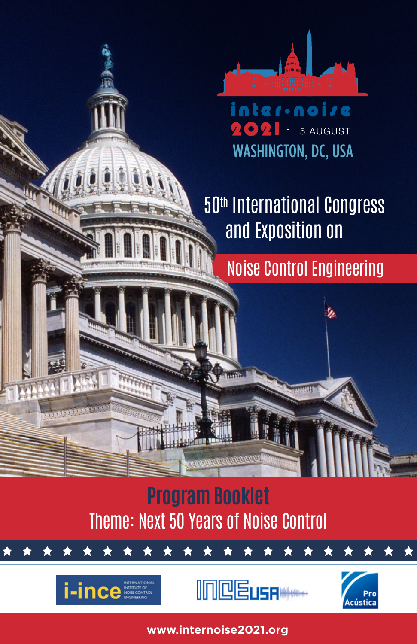

inter·noise 202 1-5 AUGUST WASHINGTON, DC, USA

 50th International Congress and Exposition on

Noise Control Engineering

Theme: Next 50 Years of Noise Control **Program Booklet** 







inter-noise 2021| Next 50 Years of Noise Control |Program <sup>1</sup> **www.internoise2021.org**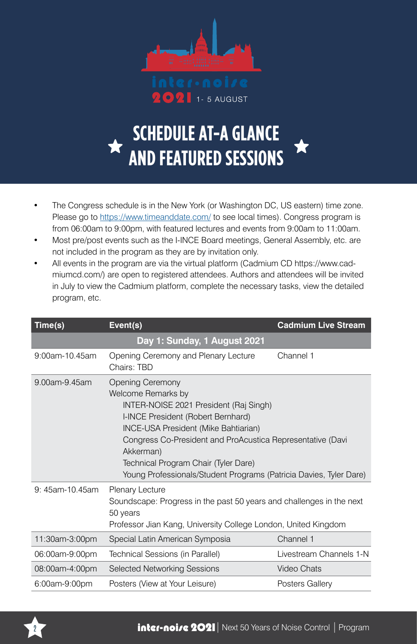

 $\bigcirc$  $\Omega$  1-5 AUGUST

## **SCHEDULE AT-A GLANCE AND FEATURED SESSIONS**

- The Congress schedule is in the New York (or Washington DC, US eastern) time zone. Please go to https://www.timeanddate.com/ to see local times). Congress program is from 06:00am to 9:00pm, with featured lectures and events from 9:00am to 11:00am.
- Most pre/post events such as the I-INCE Board meetings, General Assembly, etc. are not included in the program as they are by invitation only.
- All events in the program are via the virtual platform (Cadmium CD https://www.cadmiumcd.com/) are open to registered attendees. Authors and attendees will be invited in July to view the Cadmium platform, complete the necessary tasks, view the detailed program, etc.

| Time(s)         | <b>Cadmium Live Stream</b><br>Event(s)                                                                                                                                                                                                                                                                                                                                |                 |  |  |
|-----------------|-----------------------------------------------------------------------------------------------------------------------------------------------------------------------------------------------------------------------------------------------------------------------------------------------------------------------------------------------------------------------|-----------------|--|--|
|                 | Day 1: Sunday, 1 August 2021                                                                                                                                                                                                                                                                                                                                          |                 |  |  |
| 9:00am-10 45am  | Channel 1<br>Opening Ceremony and Plenary Lecture<br>Chairs: TRD                                                                                                                                                                                                                                                                                                      |                 |  |  |
| 9.00am-9.45am   | <b>Opening Ceremony</b><br>Welcome Remarks by<br>INTER-NOISE 2021 President (Raj Singh)<br>I-INCE President (Robert Bernhard)<br><b>INCE-USA President (Mike Bahtiarian)</b><br>Congress Co-President and ProAcustica Representative (Davi<br>Akkerman)<br>Technical Program Chair (Tyler Dare)<br>Young Professionals/Student Programs (Patricia Davies, Tyler Dare) |                 |  |  |
| 9: 45am-10.45am | Plenary Lecture<br>Soundscape: Progress in the past 50 years and challenges in the next<br>50 years<br>Professor Jian Kang, University College London, United Kingdom                                                                                                                                                                                                 |                 |  |  |
| 11:30am-3:00pm  | Special Latin American Symposia                                                                                                                                                                                                                                                                                                                                       | Channel 1       |  |  |
| 06:00am-9:00pm  | Livestream Channels 1-N<br>Technical Sessions (in Parallel)                                                                                                                                                                                                                                                                                                           |                 |  |  |
| 08:00am-4:00pm  | <b>Selected Networking Sessions</b>                                                                                                                                                                                                                                                                                                                                   | Video Chats     |  |  |
| 6:00am-9:00pm   | Posters (View at Your Leisure)                                                                                                                                                                                                                                                                                                                                        | Posters Gallery |  |  |

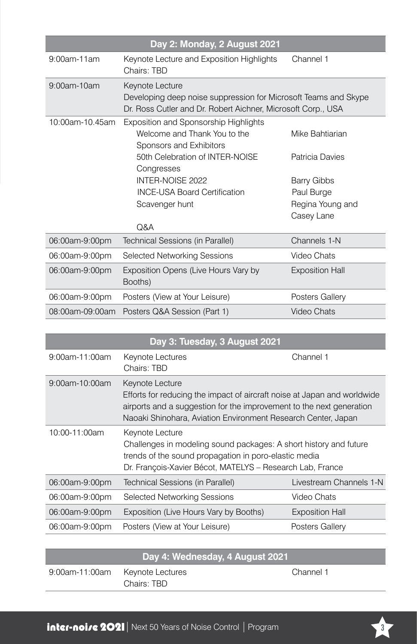| Day 2: Monday, 2 August 2021 |                                                                                                                                                    |                                                             |  |  |  |
|------------------------------|----------------------------------------------------------------------------------------------------------------------------------------------------|-------------------------------------------------------------|--|--|--|
| 9:00am-11am                  | Keynote Lecture and Exposition Highlights<br>Channel 1<br>Chairs: TBD                                                                              |                                                             |  |  |  |
| 9:00am-10am                  | Keynote Lecture<br>Developing deep noise suppression for Microsoft Teams and Skype<br>Dr. Ross Cutler and Dr. Robert Aichner, Microsoft Corp., USA |                                                             |  |  |  |
| 10:00am-10.45am              | Exposition and Sponsorship Highlights<br>Welcome and Thank You to the<br>Sponsors and Exhibitors<br>50th Celebration of INTER-NOISE                | Mike Bahtiarian<br>Patricia Davies                          |  |  |  |
|                              | Congresses<br>INTER-NOISE 2022<br><b>INCE-USA Board Certification</b><br>Scavenger hunt<br>Q&A                                                     | Barry Gibbs<br>Paul Burge<br>Regina Young and<br>Casey Lane |  |  |  |
| 06:00am-9:00pm               | Technical Sessions (in Parallel)                                                                                                                   | Channels 1-N                                                |  |  |  |
| 06:00am-9:00pm               | Selected Networking Sessions                                                                                                                       | Video Chats                                                 |  |  |  |
| 06:00am-9:00pm               | Exposition Opens (Live Hours Vary by<br>Booths)                                                                                                    | <b>Exposition Hall</b>                                      |  |  |  |
| 06:00am-9:00pm               | Posters (View at Your Leisure)                                                                                                                     | Posters Gallery                                             |  |  |  |
| 08:00am-09:00am              | Posters Q&A Session (Part 1)                                                                                                                       | Video Chats                                                 |  |  |  |

| Day 3: Tuesday, 3 August 2021 |                                                                                                                                                                                                                                      |                         |  |
|-------------------------------|--------------------------------------------------------------------------------------------------------------------------------------------------------------------------------------------------------------------------------------|-------------------------|--|
| 9:00am-11:00am                | Keynote Lectures<br>Chairs: TBD                                                                                                                                                                                                      | Channel 1               |  |
| 9:00am-10:00am                | Keynote Lecture<br>Efforts for reducing the impact of aircraft noise at Japan and worldwide<br>airports and a suggestion for the improvement to the next generation<br>Naoaki Shinohara, Aviation Environment Research Center, Japan |                         |  |
| 10:00-11:00am                 | Keynote Lecture<br>Challenges in modeling sound packages: A short history and future<br>trends of the sound propagation in poro-elastic media<br>Dr. François-Xavier Bécot, MATELYS - Research Lab, France                           |                         |  |
| 06:00am-9:00pm                | Technical Sessions (in Parallel)                                                                                                                                                                                                     | Livestream Channels 1-N |  |
| 06:00am-9:00pm                | Selected Networking Sessions                                                                                                                                                                                                         | Video Chats             |  |
| 06:00am-9:00pm                | Exposition (Live Hours Vary by Booths)                                                                                                                                                                                               | <b>Exposition Hall</b>  |  |
| 06:00am-9:00pm                | Posters (View at Your Leisure)                                                                                                                                                                                                       | Posters Gallery         |  |

| l Day 4: Wednesday, 4 August 2021, |             |           |  |
|------------------------------------|-------------|-----------|--|
| 9:00am-11:00am Keynote Lectures    | Chairs: TBD | Channel 1 |  |

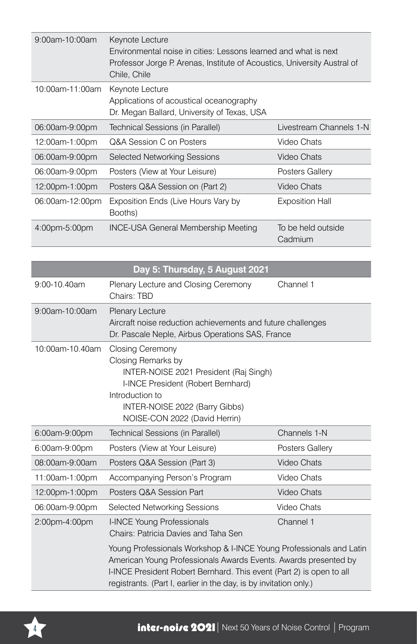| $9:00$ am-10:00am | Keynote Lecture<br>Environmental noise in cities: Lessons learned and what is next<br>Professor Jorge P. Arenas, Institute of Acoustics, University Austral of<br>Chile, Chile |                               |  |
|-------------------|--------------------------------------------------------------------------------------------------------------------------------------------------------------------------------|-------------------------------|--|
| 10:00am-11:00am   | Keynote Lecture<br>Applications of acoustical oceanography<br>Dr. Megan Ballard, University of Texas, USA                                                                      |                               |  |
| 06:00am-9:00pm    | Technical Sessions (in Parallel)                                                                                                                                               | Livestream Channels 1-N       |  |
| 12:00am-1:00pm    | Q&A Session C on Posters                                                                                                                                                       | Video Chats                   |  |
| 06:00am-9:00pm    | <b>Selected Networking Sessions</b>                                                                                                                                            | Video Chats                   |  |
| 06:00am-9:00pm    | Posters (View at Your Leisure)                                                                                                                                                 | Posters Gallery               |  |
| 12:00pm-1:00pm    | Posters Q&A Session on (Part 2)                                                                                                                                                | Video Chats                   |  |
| 06:00am-12:00pm   | Exposition Ends (Live Hours Vary by<br>Booths)                                                                                                                                 | <b>Exposition Hall</b>        |  |
| 4:00pm-5:00pm     | <b>INCE-USA General Membership Meeting</b>                                                                                                                                     | To be held outside<br>Cadmium |  |

| Day 5: Thursday, 5 August 2021 |                                                                                                                                                                                                                                                                                     |                 |  |  |
|--------------------------------|-------------------------------------------------------------------------------------------------------------------------------------------------------------------------------------------------------------------------------------------------------------------------------------|-----------------|--|--|
| 9:00-10.40am                   | Channel 1<br>Plenary Lecture and Closing Ceremony<br>Chairs: TBD                                                                                                                                                                                                                    |                 |  |  |
| 9:00am-10:00am                 | Plenary Lecture<br>Aircraft noise reduction achievements and future challenges<br>Dr. Pascale Neple, Airbus Operations SAS, France                                                                                                                                                  |                 |  |  |
| 10:00am-10 40am                | <b>Closing Ceremony</b><br>Closing Remarks by<br>INTER-NOISE 2021 President (Raj Singh)<br>I-INCE President (Robert Bernhard)<br>Introduction to<br>INTER-NOISE 2022 (Barry Gibbs)<br>NOISE-CON 2022 (David Herrin)                                                                 |                 |  |  |
| 6:00am-9:00pm                  | Technical Sessions (in Parallel)                                                                                                                                                                                                                                                    | Channels 1-N    |  |  |
| 6:00am-9:00pm                  | Posters (View at Your Leisure)                                                                                                                                                                                                                                                      | Posters Gallery |  |  |
| 08:00am-9:00am                 | Posters Q&A Session (Part 3)                                                                                                                                                                                                                                                        | Video Chats     |  |  |
| 11:00am-1:00pm                 | Accompanying Person's Program                                                                                                                                                                                                                                                       | Video Chats     |  |  |
| 12:00pm-1:00pm                 | Posters Q&A Session Part                                                                                                                                                                                                                                                            | Video Chats     |  |  |
| 06:00am-9:00pm                 | Selected Networking Sessions                                                                                                                                                                                                                                                        | Video Chats     |  |  |
| 2:00pm-4:00pm                  | I-INCE Young Professionals<br>Chairs: Patricia Davies and Taha Sen                                                                                                                                                                                                                  | Channel 1       |  |  |
|                                | Young Professionals Workshop & I-INCE Young Professionals and Latin<br>American Young Professionals Awards Events. Awards presented by<br>I-INCE President Robert Bernhard. This event (Part 2) is open to all<br>registrants. (Part I, earlier in the day, is by invitation only.) |                 |  |  |